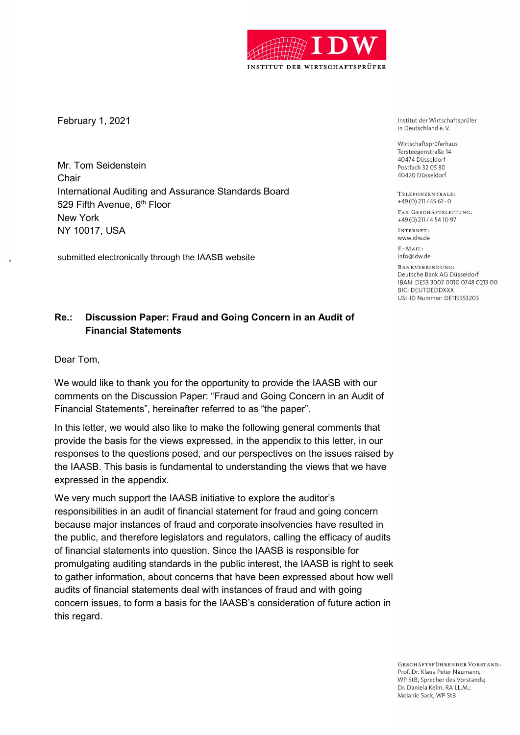

February 1, 2021

Mr. Tom Seidenstein **Chair** International Auditing and Assurance Standards Board 529 Fifth Avenue, 6<sup>th</sup> Floor New York NY 10017, USA

submitted electronically through the IAASB website

Institut der Wirtschaftsprüfer in Deutschland e.V.

Wirtschaftsprüferhaus Tersteegenstraße 14 40474 Düsseldorf Postfach 32 05 80 40420 Düsseldorf

TELEFONZENTRALE:  $+49(0)$  211 / 45 61 - 0

FAX GESCHÄFTSLEITUNG: +49 (0) 211 / 4 54 10 97

INTERNET: www.idw.de

 $E - MATI$ info@idw.de

BANKVERBINDUNG: Deutsche Bank AG Düsseldorf IBAN: DE53 3007 0010 0748 0213 00 **BIC: DEUTDEDDXXX** USt-ID Nummer: DE119353203

## Re.: Discussion Paper: Fraud and Going Concern in an Audit of Financial Statements

Dear Tom,

We would like to thank you for the opportunity to provide the IAASB with our comments on the Discussion Paper: "Fraud and Going Concern in an Audit of Financial Statements", hereinafter referred to as "the paper".

In this letter, we would also like to make the following general comments that provide the basis for the views expressed, in the appendix to this letter, in our responses to the questions posed, and our perspectives on the issues raised by the IAASB. This basis is fundamental to understanding the views that we have expressed in the appendix.

We very much support the IAASB initiative to explore the auditor's responsibilities in an audit of financial statement for fraud and going concern because major instances of fraud and corporate insolvencies have resulted in the public, and therefore legislators and regulators, calling the efficacy of audits of financial statements into question. Since the IAASB is responsible for promulgating auditing standards in the public interest, the IAASB is right to seek to gather information, about concerns that have been expressed about how well audits of financial statements deal with instances of fraud and with going concern issues, to form a basis for the IAASB's consideration of future action in this regard.

> GESCHÄFTSFÜHRENDER VORSTAND: Prof. Dr. Klaus-Peter Naumann, WP StB. Sprecher des Vorstands: Dr. Daniela Kelm, RA LL.M.: Melanie Sack, WP StB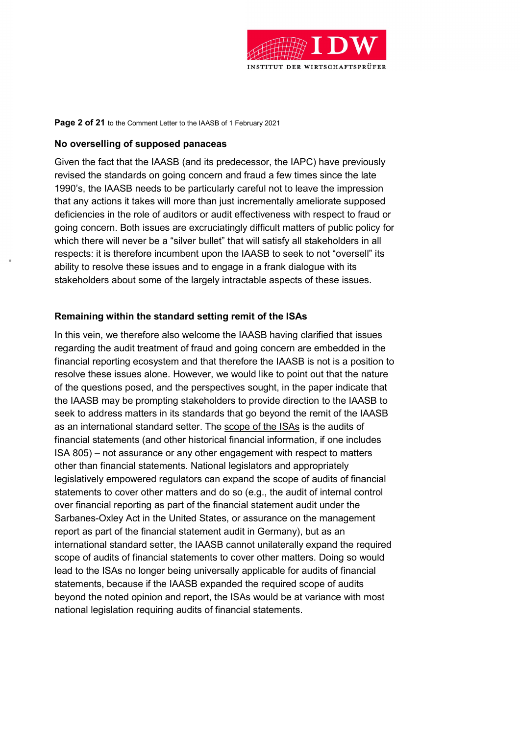

#### Page 2 of 21 to the Comment Letter to the IAASB of 1 February 2021

### No overselling of supposed panaceas

Given the fact that the IAASB (and its predecessor, the IAPC) have previously revised the standards on going concern and fraud a few times since the late 1990's, the IAASB needs to be particularly careful not to leave the impression that any actions it takes will more than just incrementally ameliorate supposed deficiencies in the role of auditors or audit effectiveness with respect to fraud or going concern. Both issues are excruciatingly difficult matters of public policy for which there will never be a "silver bullet" that will satisfy all stakeholders in all respects: it is therefore incumbent upon the IAASB to seek to not "oversell" its ability to resolve these issues and to engage in a frank dialogue with its stakeholders about some of the largely intractable aspects of these issues.

### Remaining within the standard setting remit of the ISAs

In this vein, we therefore also welcome the IAASB having clarified that issues regarding the audit treatment of fraud and going concern are embedded in the financial reporting ecosystem and that therefore the IAASB is not is a position to resolve these issues alone. However, we would like to point out that the nature of the questions posed, and the perspectives sought, in the paper indicate that the IAASB may be prompting stakeholders to provide direction to the IAASB to seek to address matters in its standards that go beyond the remit of the IAASB as an international standard setter. The scope of the ISAs is the audits of financial statements (and other historical financial information, if one includes ISA 805) – not assurance or any other engagement with respect to matters other than financial statements. National legislators and appropriately legislatively empowered regulators can expand the scope of audits of financial statements to cover other matters and do so (e.g., the audit of internal control over financial reporting as part of the financial statement audit under the Sarbanes-Oxley Act in the United States, or assurance on the management report as part of the financial statement audit in Germany), but as an international standard setter, the IAASB cannot unilaterally expand the required scope of audits of financial statements to cover other matters. Doing so would lead to the ISAs no longer being universally applicable for audits of financial statements, because if the IAASB expanded the required scope of audits beyond the noted opinion and report, the ISAs would be at variance with most national legislation requiring audits of financial statements.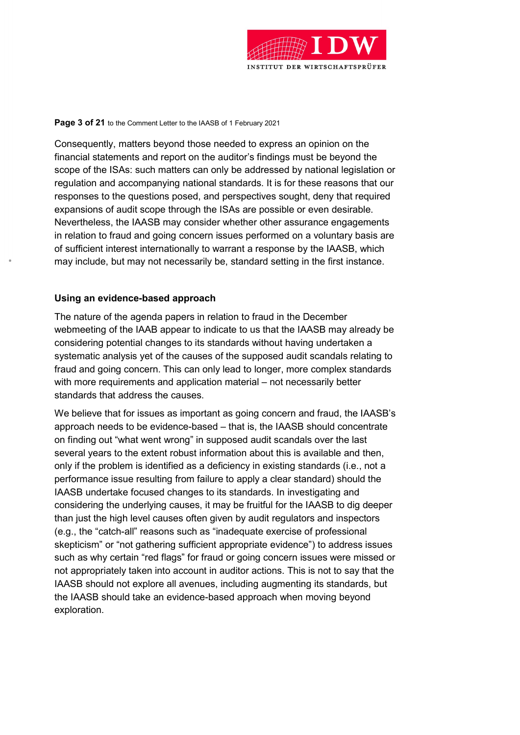

#### Page 3 of 21 to the Comment Letter to the IAASB of 1 February 2021

Consequently, matters beyond those needed to express an opinion on the financial statements and report on the auditor's findings must be beyond the scope of the ISAs: such matters can only be addressed by national legislation or regulation and accompanying national standards. It is for these reasons that our responses to the questions posed, and perspectives sought, deny that required expansions of audit scope through the ISAs are possible or even desirable. Nevertheless, the IAASB may consider whether other assurance engagements in relation to fraud and going concern issues performed on a voluntary basis are of sufficient interest internationally to warrant a response by the IAASB, which may include, but may not necessarily be, standard setting in the first instance.

### Using an evidence-based approach

The nature of the agenda papers in relation to fraud in the December webmeeting of the IAAB appear to indicate to us that the IAASB may already be considering potential changes to its standards without having undertaken a systematic analysis yet of the causes of the supposed audit scandals relating to fraud and going concern. This can only lead to longer, more complex standards with more requirements and application material – not necessarily better standards that address the causes.

We believe that for issues as important as going concern and fraud, the IAASB's approach needs to be evidence-based – that is, the IAASB should concentrate on finding out "what went wrong" in supposed audit scandals over the last several years to the extent robust information about this is available and then, only if the problem is identified as a deficiency in existing standards (i.e., not a performance issue resulting from failure to apply a clear standard) should the IAASB undertake focused changes to its standards. In investigating and considering the underlying causes, it may be fruitful for the IAASB to dig deeper than just the high level causes often given by audit regulators and inspectors (e.g., the "catch-all" reasons such as "inadequate exercise of professional skepticism" or "not gathering sufficient appropriate evidence") to address issues such as why certain "red flags" for fraud or going concern issues were missed or not appropriately taken into account in auditor actions. This is not to say that the IAASB should not explore all avenues, including augmenting its standards, but the IAASB should take an evidence-based approach when moving beyond exploration.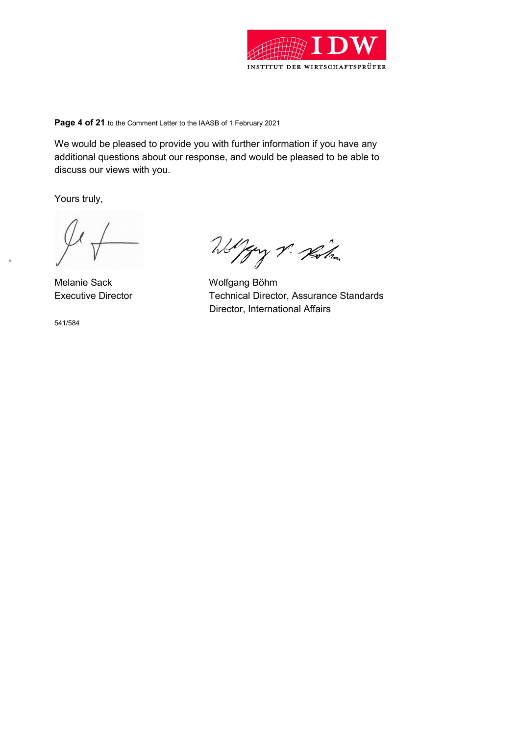

### Page 4 of 21 to the Comment Letter to the IAASB of 1 February 2021

We would be pleased to provide you with further information if you have any additional questions about our response, and would be pleased to be able to discuss our views with you.

Yours truly,

Melanie Sack Wolfgang Böhm

541/584

Wolfay V. Kolm

Executive Director Technical Director, Assurance Standards Director, International Affairs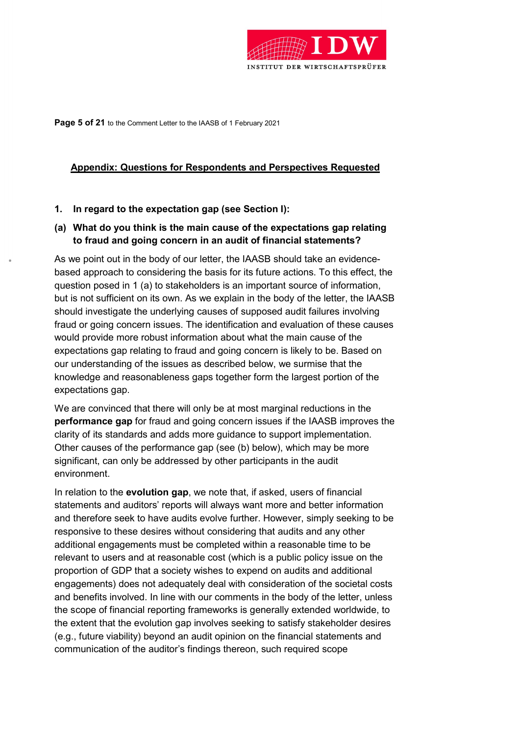

Page 5 of 21 to the Comment Letter to the IAASB of 1 February 2021

### Appendix: Questions for Respondents and Perspectives Requested

### 1. In regard to the expectation gap (see Section I):

### (a) What do you think is the main cause of the expectations gap relating to fraud and going concern in an audit of financial statements?

As we point out in the body of our letter, the IAASB should take an evidencebased approach to considering the basis for its future actions. To this effect, the question posed in 1 (a) to stakeholders is an important source of information, but is not sufficient on its own. As we explain in the body of the letter, the IAASB should investigate the underlying causes of supposed audit failures involving fraud or going concern issues. The identification and evaluation of these causes would provide more robust information about what the main cause of the expectations gap relating to fraud and going concern is likely to be. Based on our understanding of the issues as described below, we surmise that the knowledge and reasonableness gaps together form the largest portion of the expectations gap.

We are convinced that there will only be at most marginal reductions in the performance gap for fraud and going concern issues if the IAASB improves the clarity of its standards and adds more guidance to support implementation. Other causes of the performance gap (see (b) below), which may be more significant, can only be addressed by other participants in the audit environment.

In relation to the **evolution gap**, we note that, if asked, users of financial statements and auditors' reports will always want more and better information and therefore seek to have audits evolve further. However, simply seeking to be responsive to these desires without considering that audits and any other additional engagements must be completed within a reasonable time to be relevant to users and at reasonable cost (which is a public policy issue on the proportion of GDP that a society wishes to expend on audits and additional engagements) does not adequately deal with consideration of the societal costs and benefits involved. In line with our comments in the body of the letter, unless the scope of financial reporting frameworks is generally extended worldwide, to the extent that the evolution gap involves seeking to satisfy stakeholder desires (e.g., future viability) beyond an audit opinion on the financial statements and communication of the auditor's findings thereon, such required scope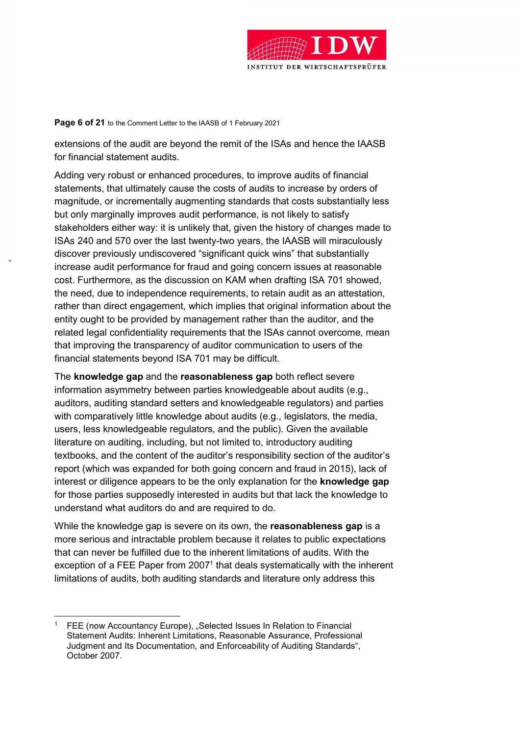

Page 6 of 21 to the Comment Letter to the IAASB of 1 February 2021

extensions of the audit are beyond the remit of the ISAs and hence the IAASB for financial statement audits.

Adding very robust or enhanced procedures, to improve audits of financial statements, that ultimately cause the costs of audits to increase by orders of magnitude, or incrementally augmenting standards that costs substantially less but only marginally improves audit performance, is not likely to satisfy stakeholders either way: it is unlikely that, given the history of changes made to ISAs 240 and 570 over the last twenty-two years, the IAASB will miraculously discover previously undiscovered "significant quick wins" that substantially increase audit performance for fraud and going concern issues at reasonable cost. Furthermore, as the discussion on KAM when drafting ISA 701 showed, the need, due to independence requirements, to retain audit as an attestation, rather than direct engagement, which implies that original information about the entity ought to be provided by management rather than the auditor, and the related legal confidentiality requirements that the ISAs cannot overcome, mean that improving the transparency of auditor communication to users of the financial statements beyond ISA 701 may be difficult.

The knowledge gap and the reasonableness gap both reflect severe information asymmetry between parties knowledgeable about audits (e.g., auditors, auditing standard setters and knowledgeable regulators) and parties with comparatively little knowledge about audits (e.g., legislators, the media, users, less knowledgeable regulators, and the public). Given the available literature on auditing, including, but not limited to, introductory auditing textbooks, and the content of the auditor's responsibility section of the auditor's report (which was expanded for both going concern and fraud in 2015), lack of interest or diligence appears to be the only explanation for the knowledge gap for those parties supposedly interested in audits but that lack the knowledge to understand what auditors do and are required to do.

While the knowledge gap is severe on its own, the **reasonableness gap** is a more serious and intractable problem because it relates to public expectations that can never be fulfilled due to the inherent limitations of audits. With the exception of a FEE Paper from 2007<sup>1</sup> that deals systematically with the inherent limitations of audits, both auditing standards and literature only address this

 $\overline{a}$ 1 FEE (now Accountancy Europe), "Selected Issues In Relation to Financial Statement Audits: Inherent Limitations, Reasonable Assurance, Professional Judgment and Its Documentation, and Enforceability of Auditing Standards", October 2007.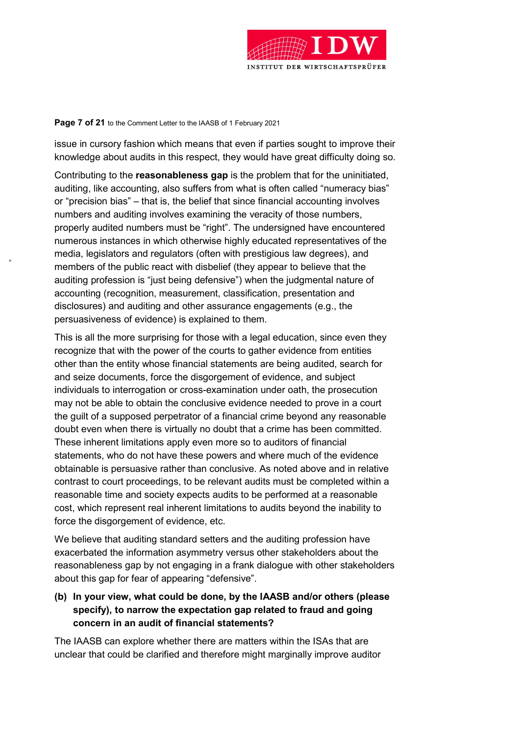

### Page 7 of 21 to the Comment Letter to the IAASB of 1 February 2021

issue in cursory fashion which means that even if parties sought to improve their knowledge about audits in this respect, they would have great difficulty doing so.

Contributing to the reasonableness gap is the problem that for the uninitiated, auditing, like accounting, also suffers from what is often called "numeracy bias" or "precision bias" – that is, the belief that since financial accounting involves numbers and auditing involves examining the veracity of those numbers, properly audited numbers must be "right". The undersigned have encountered numerous instances in which otherwise highly educated representatives of the media, legislators and regulators (often with prestigious law degrees), and members of the public react with disbelief (they appear to believe that the auditing profession is "just being defensive") when the judgmental nature of accounting (recognition, measurement, classification, presentation and disclosures) and auditing and other assurance engagements (e.g., the persuasiveness of evidence) is explained to them.

This is all the more surprising for those with a legal education, since even they recognize that with the power of the courts to gather evidence from entities other than the entity whose financial statements are being audited, search for and seize documents, force the disgorgement of evidence, and subject individuals to interrogation or cross-examination under oath, the prosecution may not be able to obtain the conclusive evidence needed to prove in a court the guilt of a supposed perpetrator of a financial crime beyond any reasonable doubt even when there is virtually no doubt that a crime has been committed. These inherent limitations apply even more so to auditors of financial statements, who do not have these powers and where much of the evidence obtainable is persuasive rather than conclusive. As noted above and in relative contrast to court proceedings, to be relevant audits must be completed within a reasonable time and society expects audits to be performed at a reasonable cost, which represent real inherent limitations to audits beyond the inability to force the disgorgement of evidence, etc.

We believe that auditing standard setters and the auditing profession have exacerbated the information asymmetry versus other stakeholders about the reasonableness gap by not engaging in a frank dialogue with other stakeholders about this gap for fear of appearing "defensive".

# (b) In your view, what could be done, by the IAASB and/or others (please specify), to narrow the expectation gap related to fraud and going concern in an audit of financial statements?

The IAASB can explore whether there are matters within the ISAs that are unclear that could be clarified and therefore might marginally improve auditor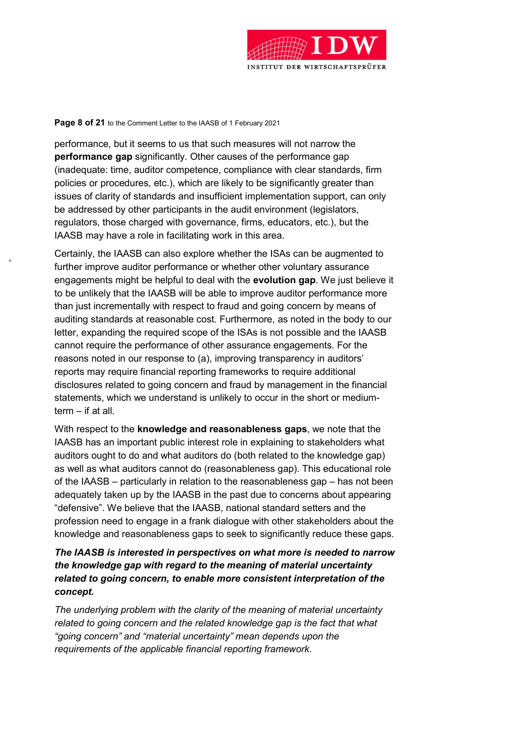

#### Page 8 of 21 to the Comment Letter to the IAASB of 1 February 2021

performance, but it seems to us that such measures will not narrow the performance gap significantly. Other causes of the performance gap (inadequate: time, auditor competence, compliance with clear standards, firm policies or procedures, etc.), which are likely to be significantly greater than issues of clarity of standards and insufficient implementation support, can only be addressed by other participants in the audit environment (legislators, regulators, those charged with governance, firms, educators, etc.), but the IAASB may have a role in facilitating work in this area.

Certainly, the IAASB can also explore whether the ISAs can be augmented to further improve auditor performance or whether other voluntary assurance engagements might be helpful to deal with the evolution gap. We just believe it to be unlikely that the IAASB will be able to improve auditor performance more than just incrementally with respect to fraud and going concern by means of auditing standards at reasonable cost. Furthermore, as noted in the body to our letter, expanding the required scope of the ISAs is not possible and the IAASB cannot require the performance of other assurance engagements. For the reasons noted in our response to (a), improving transparency in auditors' reports may require financial reporting frameworks to require additional disclosures related to going concern and fraud by management in the financial statements, which we understand is unlikely to occur in the short or mediumterm – if at all.

With respect to the knowledge and reasonableness gaps, we note that the IAASB has an important public interest role in explaining to stakeholders what auditors ought to do and what auditors do (both related to the knowledge gap) as well as what auditors cannot do (reasonableness gap). This educational role of the IAASB – particularly in relation to the reasonableness gap – has not been adequately taken up by the IAASB in the past due to concerns about appearing "defensive". We believe that the IAASB, national standard setters and the profession need to engage in a frank dialogue with other stakeholders about the knowledge and reasonableness gaps to seek to significantly reduce these gaps.

### The IAASB is interested in perspectives on what more is needed to narrow the knowledge gap with regard to the meaning of material uncertainty related to going concern, to enable more consistent interpretation of the concept.

The underlying problem with the clarity of the meaning of material uncertainty related to going concern and the related knowledge gap is the fact that what "going concern" and "material uncertainty" mean depends upon the requirements of the applicable financial reporting framework.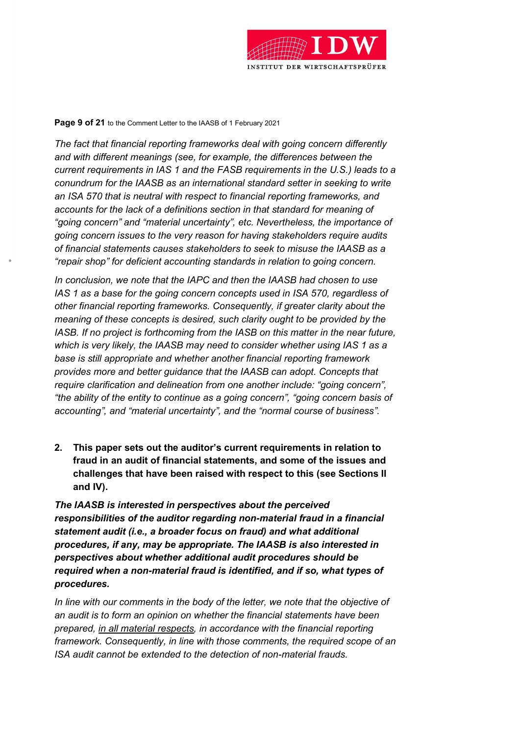

#### Page 9 of 21 to the Comment Letter to the IAASB of 1 February 2021

The fact that financial reporting frameworks deal with going concern differently and with different meanings (see, for example, the differences between the current requirements in IAS 1 and the FASB requirements in the U.S.) leads to a conundrum for the IAASB as an international standard setter in seeking to write an ISA 570 that is neutral with respect to financial reporting frameworks, and accounts for the lack of a definitions section in that standard for meaning of "going concern" and "material uncertainty", etc. Nevertheless, the importance of going concern issues to the very reason for having stakeholders require audits of financial statements causes stakeholders to seek to misuse the IAASB as a "repair shop" for deficient accounting standards in relation to going concern.

In conclusion, we note that the IAPC and then the IAASB had chosen to use IAS 1 as a base for the going concern concepts used in ISA 570, regardless of other financial reporting frameworks. Consequently, if greater clarity about the meaning of these concepts is desired, such clarity ought to be provided by the IASB. If no project is forthcoming from the IASB on this matter in the near future, which is very likely, the IAASB may need to consider whether using IAS 1 as a base is still appropriate and whether another financial reporting framework provides more and better guidance that the IAASB can adopt. Concepts that require clarification and delineation from one another include: "going concern", "the ability of the entity to continue as a going concern", "going concern basis of accounting", and "material uncertainty", and the "normal course of business".

2. This paper sets out the auditor's current requirements in relation to fraud in an audit of financial statements, and some of the issues and challenges that have been raised with respect to this (see Sections II and IV).

The IAASB is interested in perspectives about the perceived responsibilities of the auditor regarding non-material fraud in a financial statement audit (i.e., a broader focus on fraud) and what additional procedures, if any, may be appropriate. The IAASB is also interested in perspectives about whether additional audit procedures should be required when a non-material fraud is identified, and if so, what types of procedures.

In line with our comments in the body of the letter, we note that the objective of an audit is to form an opinion on whether the financial statements have been prepared, in all material respects, in accordance with the financial reporting framework. Consequently, in line with those comments, the required scope of an ISA audit cannot be extended to the detection of non-material frauds.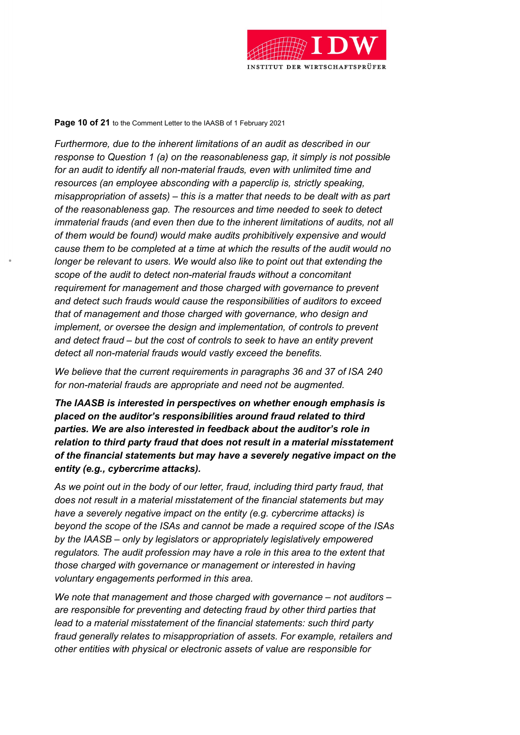

#### Page 10 of 21 to the Comment Letter to the IAASB of 1 February 2021

Furthermore, due to the inherent limitations of an audit as described in our response to Question 1 (a) on the reasonableness gap, it simply is not possible for an audit to identify all non-material frauds, even with unlimited time and resources (an employee absconding with a paperclip is, strictly speaking, misappropriation of assets) – this is a matter that needs to be dealt with as part of the reasonableness gap. The resources and time needed to seek to detect immaterial frauds (and even then due to the inherent limitations of audits, not all of them would be found) would make audits prohibitively expensive and would cause them to be completed at a time at which the results of the audit would no longer be relevant to users. We would also like to point out that extending the scope of the audit to detect non-material frauds without a concomitant requirement for management and those charged with governance to prevent and detect such frauds would cause the responsibilities of auditors to exceed that of management and those charged with governance, who design and implement, or oversee the design and implementation, of controls to prevent and detect fraud – but the cost of controls to seek to have an entity prevent detect all non-material frauds would vastly exceed the benefits.

We believe that the current requirements in paragraphs 36 and 37 of ISA 240 for non-material frauds are appropriate and need not be augmented.

The IAASB is interested in perspectives on whether enough emphasis is placed on the auditor's responsibilities around fraud related to third parties. We are also interested in feedback about the auditor's role in relation to third party fraud that does not result in a material misstatement of the financial statements but may have a severely negative impact on the entity (e.g., cybercrime attacks).

As we point out in the body of our letter, fraud, including third party fraud, that does not result in a material misstatement of the financial statements but may have a severely negative impact on the entity (e.g. cybercrime attacks) is beyond the scope of the ISAs and cannot be made a required scope of the ISAs by the IAASB – only by legislators or appropriately legislatively empowered regulators. The audit profession may have a role in this area to the extent that those charged with governance or management or interested in having voluntary engagements performed in this area.

We note that management and those charged with governance  $-$  not auditors  $$ are responsible for preventing and detecting fraud by other third parties that lead to a material misstatement of the financial statements: such third party fraud generally relates to misappropriation of assets. For example, retailers and other entities with physical or electronic assets of value are responsible for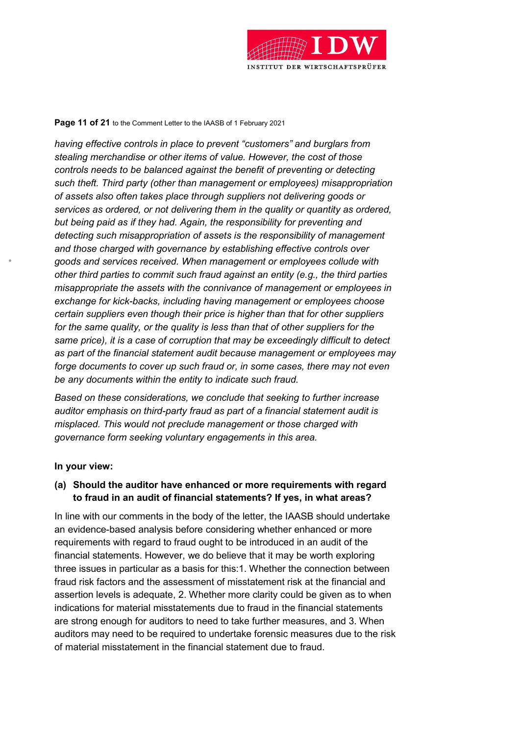

### Page 11 of 21 to the Comment Letter to the IAASB of 1 February 2021

having effective controls in place to prevent "customers" and burglars from stealing merchandise or other items of value. However, the cost of those controls needs to be balanced against the benefit of preventing or detecting such theft. Third party (other than management or employees) misappropriation of assets also often takes place through suppliers not delivering goods or services as ordered, or not delivering them in the quality or quantity as ordered, but being paid as if they had. Again, the responsibility for preventing and detecting such misappropriation of assets is the responsibility of management and those charged with governance by establishing effective controls over goods and services received. When management or employees collude with other third parties to commit such fraud against an entity (e.g., the third parties misappropriate the assets with the connivance of management or employees in exchange for kick-backs, including having management or employees choose certain suppliers even though their price is higher than that for other suppliers for the same quality, or the quality is less than that of other suppliers for the same price), it is a case of corruption that may be exceedingly difficult to detect as part of the financial statement audit because management or employees may forge documents to cover up such fraud or, in some cases, there may not even be any documents within the entity to indicate such fraud.

Based on these considerations, we conclude that seeking to further increase auditor emphasis on third-party fraud as part of a financial statement audit is misplaced. This would not preclude management or those charged with governance form seeking voluntary engagements in this area.

### In your view:

### (a) Should the auditor have enhanced or more requirements with regard to fraud in an audit of financial statements? If yes, in what areas?

In line with our comments in the body of the letter, the IAASB should undertake an evidence-based analysis before considering whether enhanced or more requirements with regard to fraud ought to be introduced in an audit of the financial statements. However, we do believe that it may be worth exploring three issues in particular as a basis for this:1. Whether the connection between fraud risk factors and the assessment of misstatement risk at the financial and assertion levels is adequate, 2. Whether more clarity could be given as to when indications for material misstatements due to fraud in the financial statements are strong enough for auditors to need to take further measures, and 3. When auditors may need to be required to undertake forensic measures due to the risk of material misstatement in the financial statement due to fraud.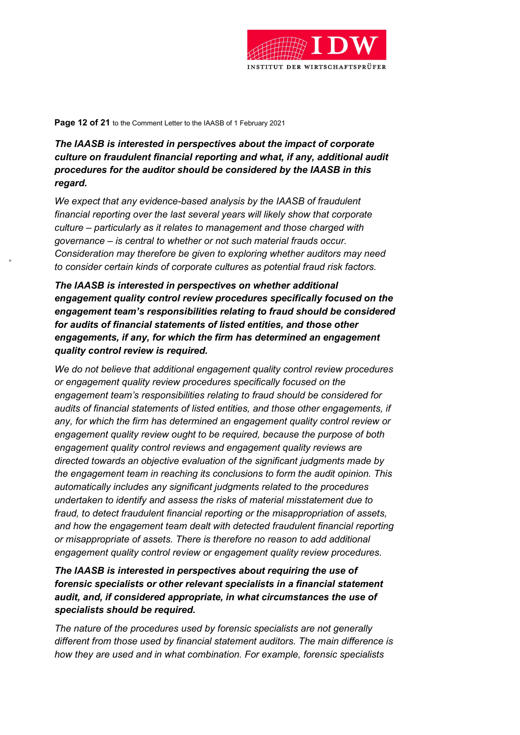

Page 12 of 21 to the Comment Letter to the IAASB of 1 February 2021

# The IAASB is interested in perspectives about the impact of corporate culture on fraudulent financial reporting and what, if any, additional audit procedures for the auditor should be considered by the IAASB in this regard.

We expect that any evidence-based analysis by the IAASB of fraudulent financial reporting over the last several years will likely show that corporate culture – particularly as it relates to management and those charged with governance – is central to whether or not such material frauds occur. Consideration may therefore be given to exploring whether auditors may need to consider certain kinds of corporate cultures as potential fraud risk factors.

The IAASB is interested in perspectives on whether additional engagement quality control review procedures specifically focused on the engagement team's responsibilities relating to fraud should be considered for audits of financial statements of listed entities, and those other engagements, if any, for which the firm has determined an engagement quality control review is required.

We do not believe that additional engagement quality control review procedures or engagement quality review procedures specifically focused on the engagement team's responsibilities relating to fraud should be considered for audits of financial statements of listed entities, and those other engagements, if any, for which the firm has determined an engagement quality control review or engagement quality review ought to be required, because the purpose of both engagement quality control reviews and engagement quality reviews are directed towards an objective evaluation of the significant judgments made by the engagement team in reaching its conclusions to form the audit opinion. This automatically includes any significant judgments related to the procedures undertaken to identify and assess the risks of material misstatement due to fraud, to detect fraudulent financial reporting or the misappropriation of assets, and how the engagement team dealt with detected fraudulent financial reporting or misappropriate of assets. There is therefore no reason to add additional engagement quality control review or engagement quality review procedures.

The IAASB is interested in perspectives about requiring the use of forensic specialists or other relevant specialists in a financial statement audit, and, if considered appropriate, in what circumstances the use of specialists should be required.

The nature of the procedures used by forensic specialists are not generally different from those used by financial statement auditors. The main difference is how they are used and in what combination. For example, forensic specialists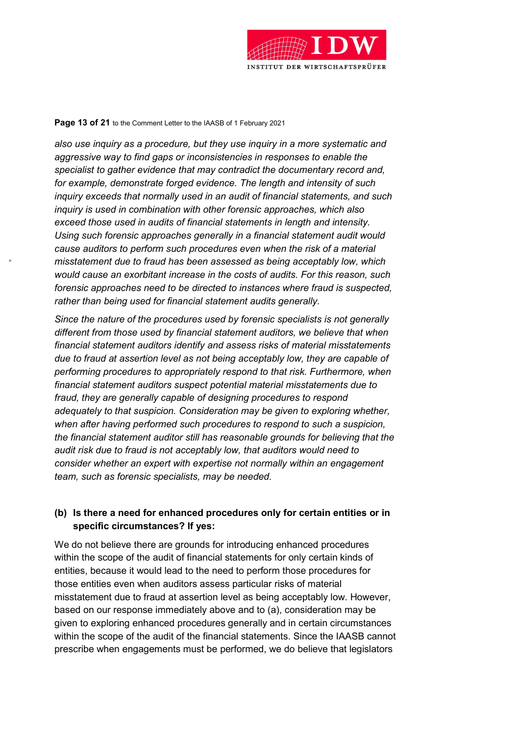

#### Page 13 of 21 to the Comment Letter to the IAASB of 1 February 2021

also use inquiry as a procedure, but they use inquiry in a more systematic and aggressive way to find gaps or inconsistencies in responses to enable the specialist to gather evidence that may contradict the documentary record and, for example, demonstrate forged evidence. The length and intensity of such inquiry exceeds that normally used in an audit of financial statements, and such inquiry is used in combination with other forensic approaches, which also exceed those used in audits of financial statements in length and intensity. Using such forensic approaches generally in a financial statement audit would cause auditors to perform such procedures even when the risk of a material misstatement due to fraud has been assessed as being acceptably low, which would cause an exorbitant increase in the costs of audits. For this reason, such forensic approaches need to be directed to instances where fraud is suspected, rather than being used for financial statement audits generally.

Since the nature of the procedures used by forensic specialists is not generally different from those used by financial statement auditors, we believe that when financial statement auditors identify and assess risks of material misstatements due to fraud at assertion level as not being acceptably low, they are capable of performing procedures to appropriately respond to that risk. Furthermore, when financial statement auditors suspect potential material misstatements due to fraud, they are generally capable of designing procedures to respond adequately to that suspicion. Consideration may be given to exploring whether, when after having performed such procedures to respond to such a suspicion, the financial statement auditor still has reasonable grounds for believing that the audit risk due to fraud is not acceptably low, that auditors would need to consider whether an expert with expertise not normally within an engagement team, such as forensic specialists, may be needed.

## (b) Is there a need for enhanced procedures only for certain entities or in specific circumstances? If yes:

We do not believe there are grounds for introducing enhanced procedures within the scope of the audit of financial statements for only certain kinds of entities, because it would lead to the need to perform those procedures for those entities even when auditors assess particular risks of material misstatement due to fraud at assertion level as being acceptably low. However, based on our response immediately above and to (a), consideration may be given to exploring enhanced procedures generally and in certain circumstances within the scope of the audit of the financial statements. Since the IAASB cannot prescribe when engagements must be performed, we do believe that legislators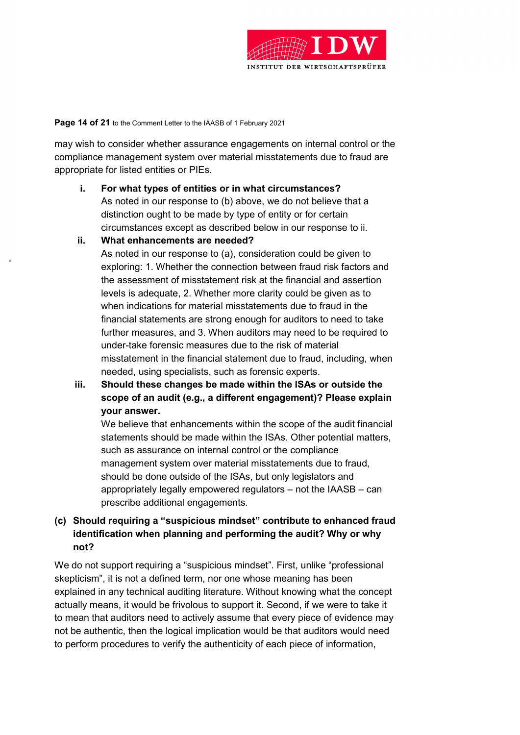

Page 14 of 21 to the Comment Letter to the IAASB of 1 February 2021

may wish to consider whether assurance engagements on internal control or the compliance management system over material misstatements due to fraud are appropriate for listed entities or PIEs.

- i. For what types of entities or in what circumstances? As noted in our response to (b) above, we do not believe that a distinction ought to be made by type of entity or for certain circumstances except as described below in our response to ii.
- ii. What enhancements are needed?

As noted in our response to (a), consideration could be given to exploring: 1. Whether the connection between fraud risk factors and the assessment of misstatement risk at the financial and assertion levels is adequate, 2. Whether more clarity could be given as to when indications for material misstatements due to fraud in the financial statements are strong enough for auditors to need to take further measures, and 3. When auditors may need to be required to under-take forensic measures due to the risk of material misstatement in the financial statement due to fraud, including, when needed, using specialists, such as forensic experts.

iii. Should these changes be made within the ISAs or outside the scope of an audit (e.g., a different engagement)? Please explain your answer.

We believe that enhancements within the scope of the audit financial statements should be made within the ISAs. Other potential matters, such as assurance on internal control or the compliance management system over material misstatements due to fraud, should be done outside of the ISAs, but only legislators and appropriately legally empowered regulators – not the IAASB – can prescribe additional engagements.

(c) Should requiring a "suspicious mindset" contribute to enhanced fraud identification when planning and performing the audit? Why or why not?

We do not support requiring a "suspicious mindset". First, unlike "professional skepticism", it is not a defined term, nor one whose meaning has been explained in any technical auditing literature. Without knowing what the concept actually means, it would be frivolous to support it. Second, if we were to take it to mean that auditors need to actively assume that every piece of evidence may not be authentic, then the logical implication would be that auditors would need to perform procedures to verify the authenticity of each piece of information,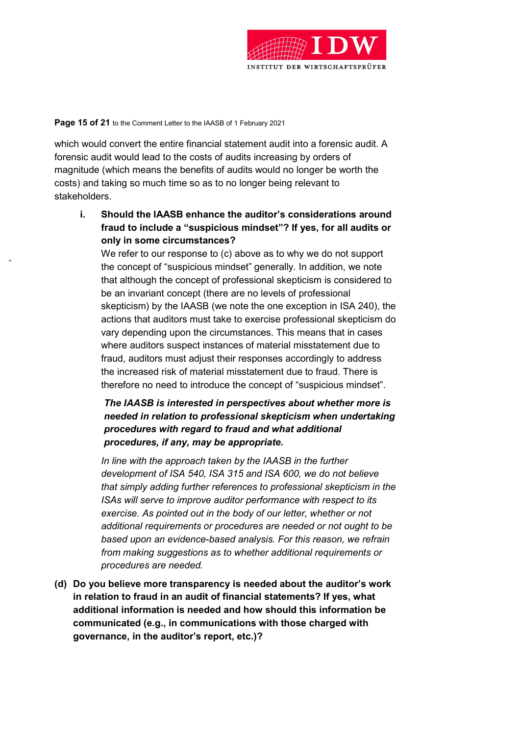

### Page 15 of 21 to the Comment Letter to the IAASB of 1 February 2021

which would convert the entire financial statement audit into a forensic audit. A forensic audit would lead to the costs of audits increasing by orders of magnitude (which means the benefits of audits would no longer be worth the costs) and taking so much time so as to no longer being relevant to stakeholders.

i. Should the IAASB enhance the auditor's considerations around fraud to include a "suspicious mindset"? If yes, for all audits or only in some circumstances?

We refer to our response to (c) above as to why we do not support the concept of "suspicious mindset" generally. In addition, we note that although the concept of professional skepticism is considered to be an invariant concept (there are no levels of professional skepticism) by the IAASB (we note the one exception in ISA 240), the actions that auditors must take to exercise professional skepticism do vary depending upon the circumstances. This means that in cases where auditors suspect instances of material misstatement due to fraud, auditors must adjust their responses accordingly to address the increased risk of material misstatement due to fraud. There is therefore no need to introduce the concept of "suspicious mindset".

# The IAASB is interested in perspectives about whether more is needed in relation to professional skepticism when undertaking procedures with regard to fraud and what additional procedures, if any, may be appropriate.

In line with the approach taken by the IAASB in the further development of ISA 540, ISA 315 and ISA 600, we do not believe that simply adding further references to professional skepticism in the ISAs will serve to improve auditor performance with respect to its exercise. As pointed out in the body of our letter, whether or not additional requirements or procedures are needed or not ought to be based upon an evidence-based analysis. For this reason, we refrain from making suggestions as to whether additional requirements or procedures are needed.

(d) Do you believe more transparency is needed about the auditor's work in relation to fraud in an audit of financial statements? If yes, what additional information is needed and how should this information be communicated (e.g., in communications with those charged with governance, in the auditor's report, etc.)?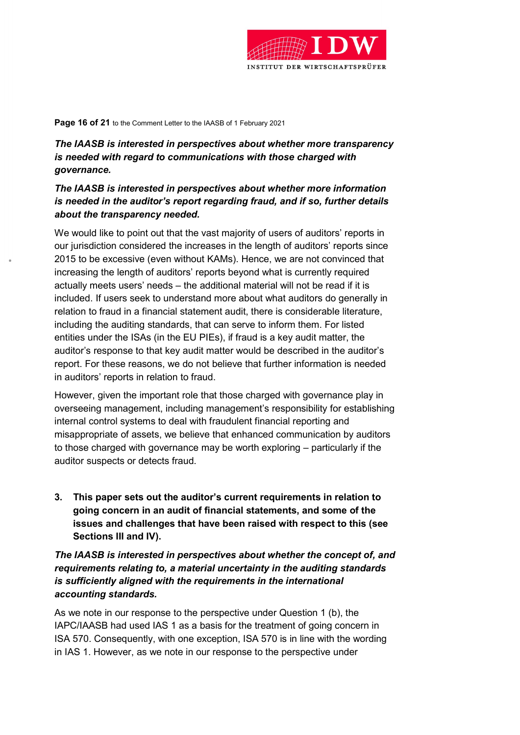

Page 16 of 21 to the Comment Letter to the IAASB of 1 February 2021

# The IAASB is interested in perspectives about whether more transparency is needed with regard to communications with those charged with governance.

## The IAASB is interested in perspectives about whether more information is needed in the auditor's report regarding fraud, and if so, further details about the transparency needed.

We would like to point out that the vast majority of users of auditors' reports in our jurisdiction considered the increases in the length of auditors' reports since 2015 to be excessive (even without KAMs). Hence, we are not convinced that increasing the length of auditors' reports beyond what is currently required actually meets users' needs – the additional material will not be read if it is included. If users seek to understand more about what auditors do generally in relation to fraud in a financial statement audit, there is considerable literature, including the auditing standards, that can serve to inform them. For listed entities under the ISAs (in the EU PIEs), if fraud is a key audit matter, the auditor's response to that key audit matter would be described in the auditor's report. For these reasons, we do not believe that further information is needed in auditors' reports in relation to fraud.

However, given the important role that those charged with governance play in overseeing management, including management's responsibility for establishing internal control systems to deal with fraudulent financial reporting and misappropriate of assets, we believe that enhanced communication by auditors to those charged with governance may be worth exploring – particularly if the auditor suspects or detects fraud.

3. This paper sets out the auditor's current requirements in relation to going concern in an audit of financial statements, and some of the issues and challenges that have been raised with respect to this (see Sections III and IV).

The IAASB is interested in perspectives about whether the concept of, and requirements relating to, a material uncertainty in the auditing standards is sufficiently aligned with the requirements in the international accounting standards.

As we note in our response to the perspective under Question 1 (b), the IAPC/IAASB had used IAS 1 as a basis for the treatment of going concern in ISA 570. Consequently, with one exception, ISA 570 is in line with the wording in IAS 1. However, as we note in our response to the perspective under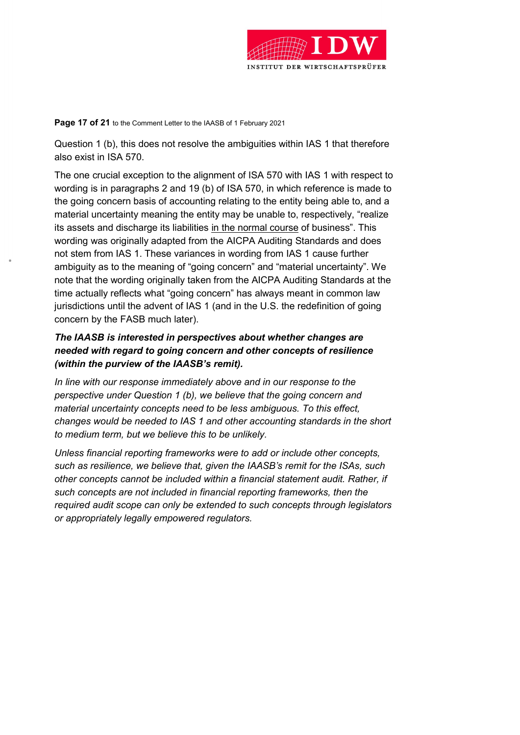

Page 17 of 21 to the Comment Letter to the IAASB of 1 February 2021

Question 1 (b), this does not resolve the ambiguities within IAS 1 that therefore also exist in ISA 570.

The one crucial exception to the alignment of ISA 570 with IAS 1 with respect to wording is in paragraphs 2 and 19 (b) of ISA 570, in which reference is made to the going concern basis of accounting relating to the entity being able to, and a material uncertainty meaning the entity may be unable to, respectively, "realize its assets and discharge its liabilities in the normal course of business". This wording was originally adapted from the AICPA Auditing Standards and does not stem from IAS 1. These variances in wording from IAS 1 cause further ambiguity as to the meaning of "going concern" and "material uncertainty". We note that the wording originally taken from the AICPA Auditing Standards at the time actually reflects what "going concern" has always meant in common law jurisdictions until the advent of IAS 1 (and in the U.S. the redefinition of going concern by the FASB much later).

# The IAASB is interested in perspectives about whether changes are needed with regard to going concern and other concepts of resilience (within the purview of the IAASB's remit).

In line with our response immediately above and in our response to the perspective under Question 1 (b), we believe that the going concern and material uncertainty concepts need to be less ambiguous. To this effect, changes would be needed to IAS 1 and other accounting standards in the short to medium term, but we believe this to be unlikely.

Unless financial reporting frameworks were to add or include other concepts, such as resilience, we believe that, given the IAASB's remit for the ISAs, such other concepts cannot be included within a financial statement audit. Rather, if such concepts are not included in financial reporting frameworks, then the required audit scope can only be extended to such concepts through legislators or appropriately legally empowered regulators.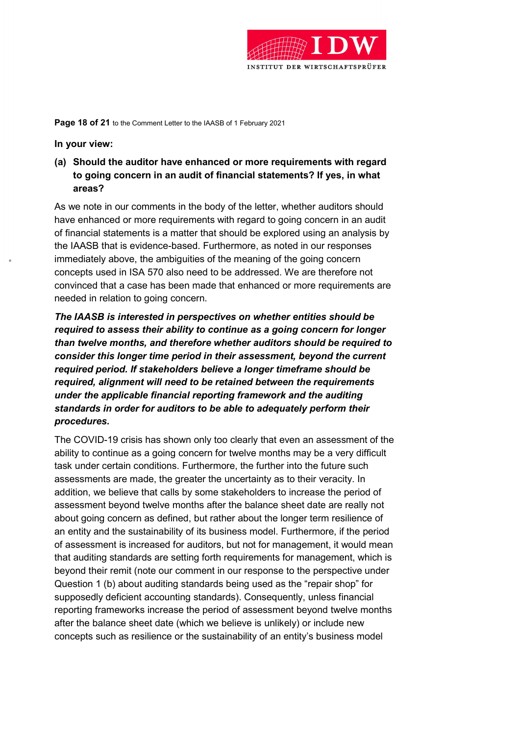

Page 18 of 21 to the Comment Letter to the IAASB of 1 February 2021

In your view:

(a) Should the auditor have enhanced or more requirements with regard to going concern in an audit of financial statements? If yes, in what areas?

As we note in our comments in the body of the letter, whether auditors should have enhanced or more requirements with regard to going concern in an audit of financial statements is a matter that should be explored using an analysis by the IAASB that is evidence-based. Furthermore, as noted in our responses immediately above, the ambiguities of the meaning of the going concern concepts used in ISA 570 also need to be addressed. We are therefore not convinced that a case has been made that enhanced or more requirements are needed in relation to going concern.

The IAASB is interested in perspectives on whether entities should be required to assess their ability to continue as a going concern for longer than twelve months, and therefore whether auditors should be required to consider this longer time period in their assessment, beyond the current required period. If stakeholders believe a longer timeframe should be required, alignment will need to be retained between the requirements under the applicable financial reporting framework and the auditing standards in order for auditors to be able to adequately perform their procedures.

The COVID-19 crisis has shown only too clearly that even an assessment of the ability to continue as a going concern for twelve months may be a very difficult task under certain conditions. Furthermore, the further into the future such assessments are made, the greater the uncertainty as to their veracity. In addition, we believe that calls by some stakeholders to increase the period of assessment beyond twelve months after the balance sheet date are really not about going concern as defined, but rather about the longer term resilience of an entity and the sustainability of its business model. Furthermore, if the period of assessment is increased for auditors, but not for management, it would mean that auditing standards are setting forth requirements for management, which is beyond their remit (note our comment in our response to the perspective under Question 1 (b) about auditing standards being used as the "repair shop" for supposedly deficient accounting standards). Consequently, unless financial reporting frameworks increase the period of assessment beyond twelve months after the balance sheet date (which we believe is unlikely) or include new concepts such as resilience or the sustainability of an entity's business model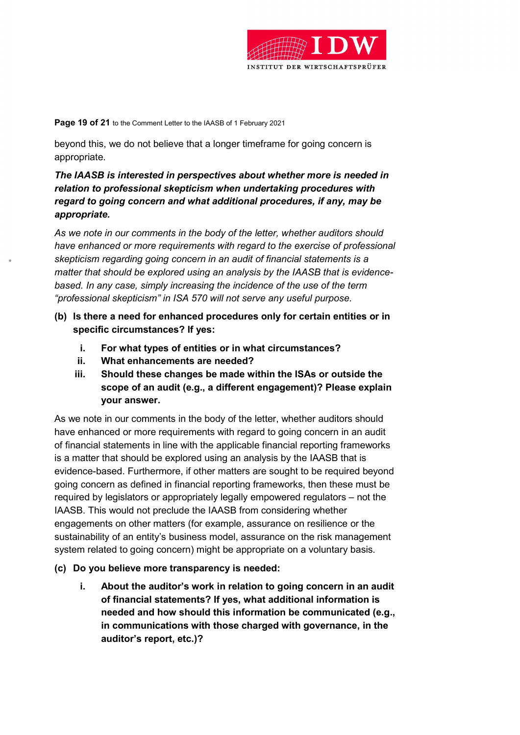

Page 19 of 21 to the Comment Letter to the IAASB of 1 February 2021

beyond this, we do not believe that a longer timeframe for going concern is appropriate.

# The IAASB is interested in perspectives about whether more is needed in relation to professional skepticism when undertaking procedures with regard to going concern and what additional procedures, if any, may be appropriate.

As we note in our comments in the body of the letter, whether auditors should have enhanced or more requirements with regard to the exercise of professional skepticism regarding going concern in an audit of financial statements is a matter that should be explored using an analysis by the IAASB that is evidencebased. In any case, simply increasing the incidence of the use of the term "professional skepticism" in ISA 570 will not serve any useful purpose.

- (b) Is there a need for enhanced procedures only for certain entities or in specific circumstances? If yes:
	- i. For what types of entities or in what circumstances?
	- ii. What enhancements are needed?
	- iii. Should these changes be made within the ISAs or outside the scope of an audit (e.g., a different engagement)? Please explain your answer.

As we note in our comments in the body of the letter, whether auditors should have enhanced or more requirements with regard to going concern in an audit of financial statements in line with the applicable financial reporting frameworks is a matter that should be explored using an analysis by the IAASB that is evidence-based. Furthermore, if other matters are sought to be required beyond going concern as defined in financial reporting frameworks, then these must be required by legislators or appropriately legally empowered regulators – not the IAASB. This would not preclude the IAASB from considering whether engagements on other matters (for example, assurance on resilience or the sustainability of an entity's business model, assurance on the risk management system related to going concern) might be appropriate on a voluntary basis.

- (c) Do you believe more transparency is needed:
	- i. About the auditor's work in relation to going concern in an audit of financial statements? If yes, what additional information is needed and how should this information be communicated (e.g., in communications with those charged with governance, in the auditor's report, etc.)?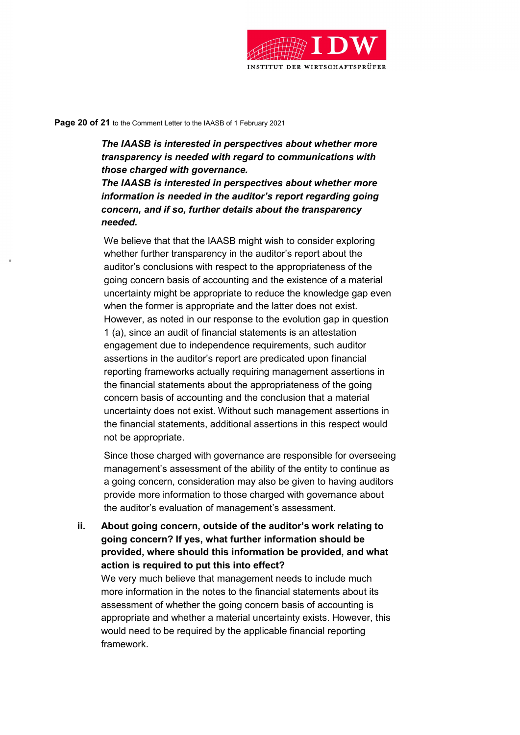

#### Page 20 of 21 to the Comment Letter to the IAASB of 1 February 2021

The IAASB is interested in perspectives about whether more transparency is needed with regard to communications with those charged with governance.

The IAASB is interested in perspectives about whether more information is needed in the auditor's report regarding going concern, and if so, further details about the transparency needed.

We believe that that the IAASB might wish to consider exploring whether further transparency in the auditor's report about the auditor's conclusions with respect to the appropriateness of the going concern basis of accounting and the existence of a material uncertainty might be appropriate to reduce the knowledge gap even when the former is appropriate and the latter does not exist. However, as noted in our response to the evolution gap in question 1 (a), since an audit of financial statements is an attestation engagement due to independence requirements, such auditor assertions in the auditor's report are predicated upon financial reporting frameworks actually requiring management assertions in the financial statements about the appropriateness of the going concern basis of accounting and the conclusion that a material uncertainty does not exist. Without such management assertions in the financial statements, additional assertions in this respect would not be appropriate.

Since those charged with governance are responsible for overseeing management's assessment of the ability of the entity to continue as a going concern, consideration may also be given to having auditors provide more information to those charged with governance about the auditor's evaluation of management's assessment.

ii. About going concern, outside of the auditor's work relating to going concern? If yes, what further information should be provided, where should this information be provided, and what action is required to put this into effect?

We very much believe that management needs to include much more information in the notes to the financial statements about its assessment of whether the going concern basis of accounting is appropriate and whether a material uncertainty exists. However, this would need to be required by the applicable financial reporting framework.